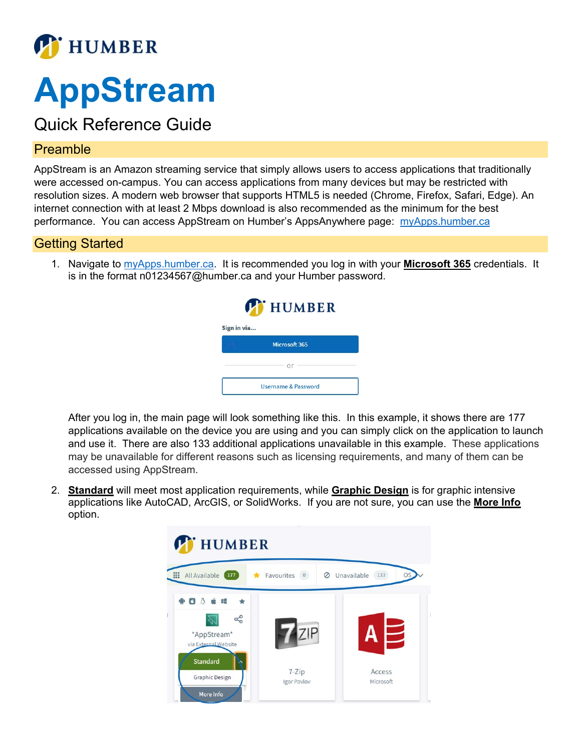

# **AppStream**

# Quick Reference Guide

### Preamble

AppStream is an Amazon streaming service that simply allows users to access applications that traditionally were accessed on-campus. You can access applications from many devices but may be restricted with resolution sizes. A modern web browser that supports HTML5 is needed (Chrome, Firefox, Safari, Edge). An internet connection with at least 2 Mbps download is also recommended as the minimum for the best performance. You can access AppStream on Humber's AppsAnywhere page: myApps.humber.ca

# Getting Started

1. Navigate to [myApps.humber.ca.](https://myapps.humber.ca/) It is recommended you log in with your **Microsoft 365** credentials. It is in the format n01234567@humber.ca and your Humber password.

| <b>T</b> HUMBER                |  |  |  |  |  |  |
|--------------------------------|--|--|--|--|--|--|
| Sign in via                    |  |  |  |  |  |  |
| Microsoft 365                  |  |  |  |  |  |  |
|                                |  |  |  |  |  |  |
| <b>Username &amp; Password</b> |  |  |  |  |  |  |

After you log in, the main page will look something like this. In this example, it shows there are 177 applications available on the device you are using and you can simply click on the application to launch and use it. There are also 133 additional applications unavailable in this example. These applications may be unavailable for different reasons such as licensing requirements, and many of them can be accessed using AppStream.

2. **Standard** will meet most application requirements, while **Graphic Design** is for graphic intensive applications like AutoCAD, ArcGIS, or SolidWorks. If you are not sure, you can use the **More Info** option.

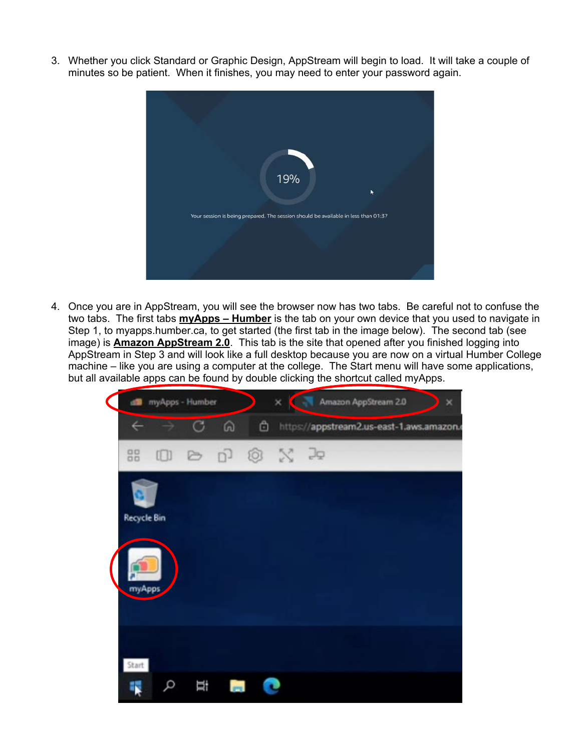3. Whether you click Standard or Graphic Design, AppStream will begin to load. It will take a couple of minutes so be patient. When it finishes, you may need to enter your password again.



4. Once you are in AppStream, you will see the browser now has two tabs. Be careful not to confuse the two tabs. The first tabs **myApps – Humber** is the tab on your own device that you used to navigate in Step 1, to myapps.humber.ca, to get started (the first tab in the image below). The second tab (see image) is **Amazon AppStream 2.0**. This tab is the site that opened after you finished logging into AppStream in Step 3 and will look like a full desktop because you are now on a virtual Humber College machine – like you are using a computer at the college. The Start menu will have some applications, but all available apps can be found by double clicking the shortcut called myApps.

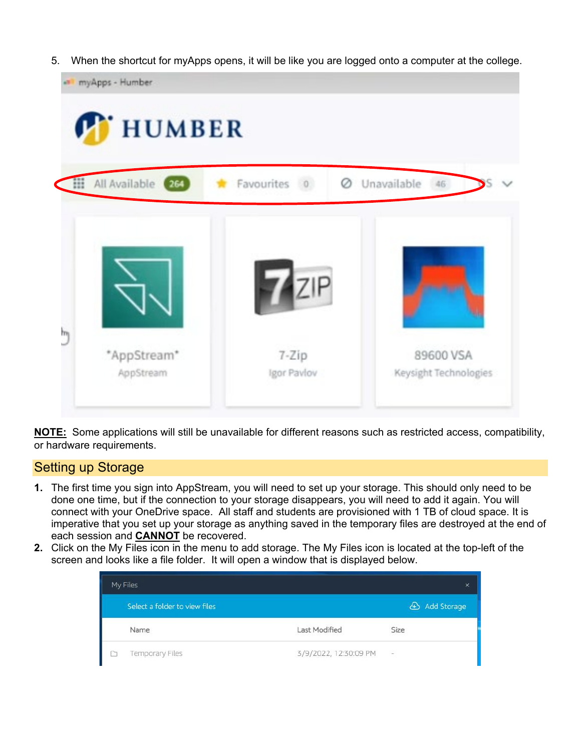5. When the shortcut for myApps opens, it will be like you are logged onto a computer at the college.

| Unavailable<br>Ø<br>46<br>s, |
|------------------------------|
|                              |
| 89600 VSA                    |
| $7$ zip<br>$7 - Zip$         |

**NOTE:** Some applications will still be unavailable for different reasons such as restricted access, compatibility, or hardware requirements.

#### Setting up Storage

- **1.** The first time you sign into AppStream, you will need to set up your storage. This should only need to be done one time, but if the connection to your storage disappears, you will need to add it again. You will connect with your OneDrive space. All staff and students are provisioned with 1 TB of cloud space. It is imperative that you set up your storage as anything saved in the temporary files are destroyed at the end of each session and **CANNOT** be recovered.
- **2.** Click on the My Files icon in the menu to add storage. The My Files icon is located at the top-left of the screen and looks like a file folder. It will open a window that is displayed below.